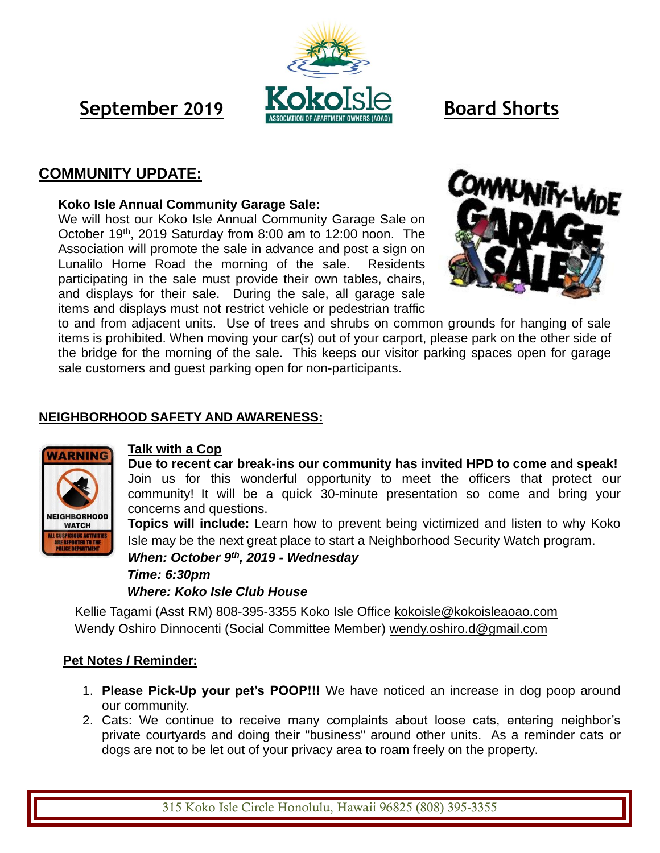# **September** 2019 **KOKO**ISLE **Board Shorts**

### **COMMUNITY UPDATE:**

#### **Koko Isle Annual Community Garage Sale:**

We will host our Koko Isle Annual Community Garage Sale on October 19<sup>th</sup>, 2019 Saturday from 8:00 am to 12:00 noon. The Association will promote the sale in advance and post a sign on Lunalilo Home Road the morning of the sale.Residents participating in the sale must provide their own tables, chairs, and displays for their sale. During the sale, all garage sale items and displays must not restrict vehicle or pedestrian traffic



to and from adjacent units. Use of trees and shrubs on common grounds for hanging of sale items is prohibited. When moving your car(s) out of your carport, please park on the other side of the bridge for the morning of the sale. This keeps our visitor parking spaces open for garage sale customers and guest parking open for non-participants.

#### **NEIGHBORHOOD SAFETY AND AWARENESS:**



#### **Talk with a Cop**

**Due to recent car break-ins our community has invited HPD to come and speak!**  Join us for this wonderful opportunity to meet the officers that protect our community! It will be a quick 30-minute presentation so come and bring your concerns and questions.

**Topics will include:** Learn how to prevent being victimized and listen to why Koko Isle may be the next great place to start a Neighborhood Security Watch program.

*When: October 9th , 2019 - Wednesday Time: 6:30pm Where: Koko Isle Club House*

Kellie Tagami (Asst RM) 808-395-3355 Koko Isle Office [kokoisle@kokoisleaoao.com](mailto:kokoisle@kokoisleaoao.com) Wendy Oshiro Dinnocenti (Social Committee Member) [wendy.oshiro.d@gmail.com](mailto:wendy.oshiro.d@gmail.com)

#### **Pet Notes / Reminder:**

- 1. **Please Pick-Up your pet's POOP!!!** We have noticed an increase in dog poop around our community.
- 2. Cats: We continue to receive many complaints about loose cats, entering neighbor's private courtyards and doing their "business" around other units. As a reminder cats or dogs are not to be let out of your privacy area to roam freely on the property.

315 Koko Isle Circle Honolulu, Hawaii 96825 (808) 395-3355